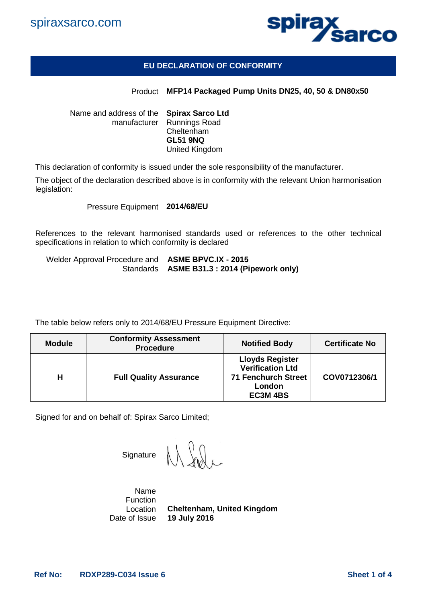



## **EU DECLARATION OF CONFORMITY**

## Product **MFP14 Packaged Pump Units DN25, 40, 50 & DN80x50**

Name and address of the **Spirax Sarco Ltd** manufacturer Runnings Road Cheltenham **GL51 9NQ** United Kingdom

This declaration of conformity is issued under the sole responsibility of the manufacturer.

The object of the declaration described above is in conformity with the relevant Union harmonisation legislation:

Pressure Equipment **2014/68/EU**

References to the relevant harmonised standards used or references to the other technical specifications in relation to which conformity is declared

Welder Approval Procedure and **ASME BPVC.IX - 2015** Standards **ASME B31.3 : 2014 (Pipework only)**

The table below refers only to 2014/68/EU Pressure Equipment Directive:

| <b>Module</b> | <b>Conformity Assessment</b><br><b>Procedure</b> | <b>Notified Body</b>                                                                                 | <b>Certificate No</b> |
|---------------|--------------------------------------------------|------------------------------------------------------------------------------------------------------|-----------------------|
| Н             | <b>Full Quality Assurance</b>                    | <b>Lloyds Register</b><br><b>Verification Ltd</b><br><b>71 Fenchurch Street</b><br>London<br>EC3M4BS | COV0712306/1          |

Signed for and on behalf of: Spirax Sarco Limited;

**Signature** 

Name Function Location Date of Issue **19 July 2016Cheltenham, United Kingdom**

**Ref No: RDXP289-C034 Issue 6 Sheet 1 of 4**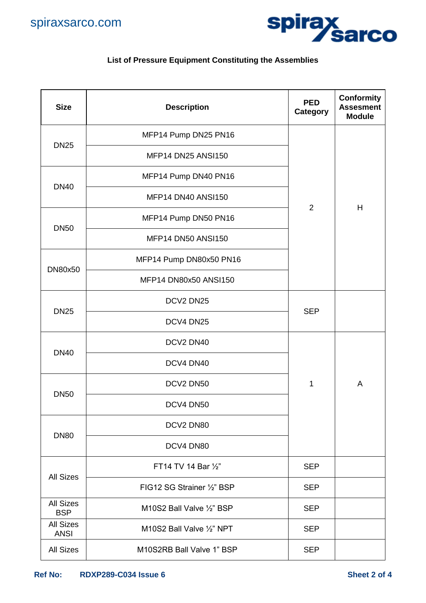



## **List of Pressure Equipment Constituting the Assemblies**

| <b>Size</b>                     | <b>Description</b>         | <b>PED</b><br><b>Category</b> | <b>Conformity</b><br><b>Assesment</b><br><b>Module</b> |
|---------------------------------|----------------------------|-------------------------------|--------------------------------------------------------|
| <b>DN25</b>                     | MFP14 Pump DN25 PN16       |                               |                                                        |
|                                 | <b>MFP14 DN25 ANSI150</b>  |                               |                                                        |
| <b>DN40</b>                     | MFP14 Pump DN40 PN16       |                               |                                                        |
|                                 | MFP14 DN40 ANSI150         | 2                             | Н                                                      |
| <b>DN50</b>                     | MFP14 Pump DN50 PN16       |                               |                                                        |
|                                 | MFP14 DN50 ANSI150         |                               |                                                        |
|                                 | MFP14 Pump DN80x50 PN16    |                               |                                                        |
| DN80x50                         | MFP14 DN80x50 ANSI150      |                               |                                                        |
| <b>DN25</b>                     | DCV2 DN25                  | <b>SEP</b>                    |                                                        |
|                                 | DCV4 DN25                  |                               |                                                        |
| <b>DN40</b>                     | DCV2 DN40                  |                               |                                                        |
|                                 | DCV4 DN40                  |                               |                                                        |
| <b>DN50</b>                     | DCV2 DN50                  | 1                             | A                                                      |
|                                 | DCV4 DN50                  |                               |                                                        |
| <b>DN80</b>                     | DCV2 DN80                  |                               |                                                        |
|                                 | DCV4 DN80                  |                               |                                                        |
| <b>All Sizes</b>                | FT14 TV 14 Bar 1/2"        | <b>SEP</b>                    |                                                        |
|                                 | FIG12 SG Strainer 1/2" BSP | <b>SEP</b>                    |                                                        |
| <b>All Sizes</b><br><b>BSP</b>  | M10S2 Ball Valve 1/2" BSP  | <b>SEP</b>                    |                                                        |
| <b>All Sizes</b><br><b>ANSI</b> | M10S2 Ball Valve 1/2" NPT  | <b>SEP</b>                    |                                                        |
| <b>All Sizes</b>                | M10S2RB Ball Valve 1" BSP  | <b>SEP</b>                    |                                                        |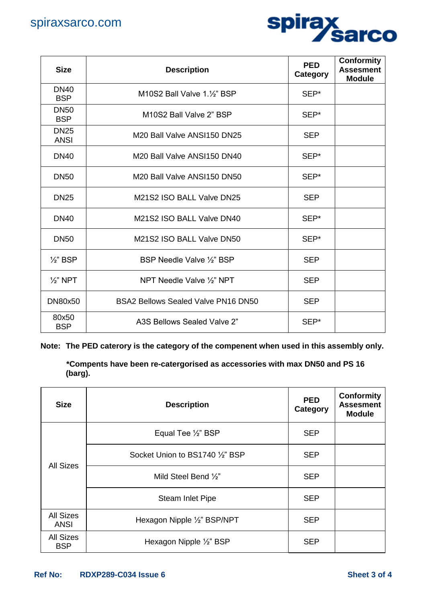

| <b>Size</b>                | <b>Description</b>                                  | <b>PED</b><br>Category | <b>Conformity</b><br><b>Assesment</b><br><b>Module</b> |
|----------------------------|-----------------------------------------------------|------------------------|--------------------------------------------------------|
| <b>DN40</b><br><b>BSP</b>  | M10S2 Ball Valve 1.1/2" BSP                         | SEP*                   |                                                        |
| <b>DN50</b><br><b>BSP</b>  | M10S2 Ball Valve 2" BSP                             | SEP*                   |                                                        |
| <b>DN25</b><br><b>ANSI</b> | M20 Ball Valve ANSI150 DN25                         | <b>SEP</b>             |                                                        |
| <b>DN40</b>                | M20 Ball Valve ANSI150 DN40                         | SEP*                   |                                                        |
| <b>DN50</b>                | M <sub>20</sub> Ball Valve ANSI150 DN <sub>50</sub> | SEP*                   |                                                        |
| <b>DN25</b>                | M21S2 ISO BALL Valve DN25                           | <b>SEP</b>             |                                                        |
| <b>DN40</b>                | M21S2 ISO BALL Valve DN40                           | SEP*                   |                                                        |
| <b>DN50</b>                | M21S2 ISO BALL Valve DN50                           | SEP*                   |                                                        |
| $\frac{1}{2}$ " BSP        | BSP Needle Valve 1/2" BSP                           | <b>SEP</b>             |                                                        |
| $\frac{1}{2}$ " NPT        | NPT Needle Valve 1/2" NPT                           | <b>SEP</b>             |                                                        |
| <b>DN80x50</b>             | <b>BSA2 Bellows Sealed Valve PN16 DN50</b>          | <b>SEP</b>             |                                                        |
| 80x50<br><b>BSP</b>        | A3S Bellows Sealed Valve 2"                         | SEP*                   |                                                        |

**Note: The PED caterory is the category of the compenent when used in this assembly only.** 

**\*Compents have been re-catergorised as accessories with max DN50 and PS 16 (barg).**

| <b>Size</b>                    | <b>Description</b>              | <b>PED</b><br>Category | <b>Conformity</b><br><b>Assesment</b><br><b>Module</b> |
|--------------------------------|---------------------------------|------------------------|--------------------------------------------------------|
| <b>All Sizes</b>               | Equal Tee 1/2" BSP              | <b>SEP</b>             |                                                        |
|                                | Socket Union to BS1740 1/2" BSP | <b>SEP</b>             |                                                        |
|                                | Mild Steel Bend 1/2"            | <b>SEP</b>             |                                                        |
|                                | <b>Steam Inlet Pipe</b>         | <b>SEP</b>             |                                                        |
| <b>All Sizes</b><br>ANSI       | Hexagon Nipple 1/2" BSP/NPT     | <b>SEP</b>             |                                                        |
| <b>All Sizes</b><br><b>BSP</b> | Hexagon Nipple 1/2" BSP         | <b>SEP</b>             |                                                        |